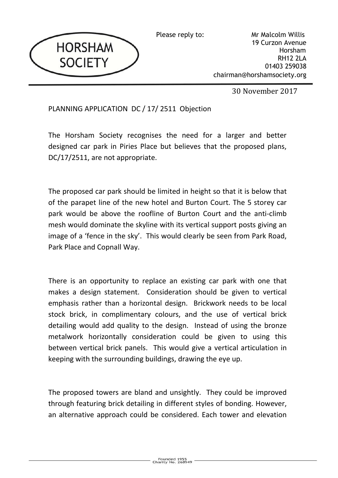

Please reply to: Mr Malcolm Willis 19 Curzon Avenue Horsham RH12 2LA 01403 259038 chairman@horshamsociety.org

30 November 2017

PLANNING APPLICATION DC / 17/ 2511 Objection

The Horsham Society recognises the need for a larger and better designed car park in Piries Place but believes that the proposed plans, DC/17/2511, are not appropriate.

The proposed car park should be limited in height so that it is below that of the parapet line of the new hotel and Burton Court. The 5 storey car park would be above the roofline of Burton Court and the anti-climb mesh would dominate the skyline with its vertical support posts giving an image of a 'fence in the sky'. This would clearly be seen from Park Road, Park Place and Copnall Way.

There is an opportunity to replace an existing car park with one that makes a design statement. Consideration should be given to vertical emphasis rather than a horizontal design. Brickwork needs to be local stock brick, in complimentary colours, and the use of vertical brick detailing would add quality to the design. Instead of using the bronze metalwork horizontally consideration could be given to using this between vertical brick panels. This would give a vertical articulation in keeping with the surrounding buildings, drawing the eye up.

The proposed towers are bland and unsightly. They could be improved through featuring brick detailing in different styles of bonding. However, an alternative approach could be considered. Each tower and elevation